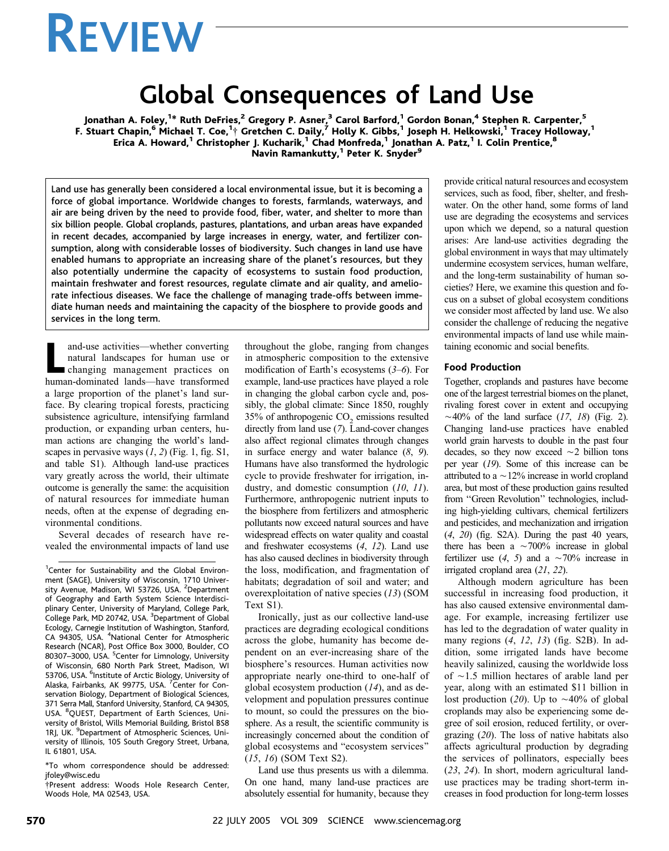# REVIEW

# Global Consequences of Land Use

Jonathan A. Foley,<sup>1\*</sup> Ruth DeFries,<sup>2</sup> Gregory P. Asner,<sup>3</sup> Carol Barford,<sup>1</sup> Gordon Bonan,<sup>4</sup> Stephen R. Carpenter,<sup>5</sup> F. Stuart Chapin,<sup>6</sup> Michael T. Coe,<sup>1</sup>† Gretchen C. Daily,<sup>7</sup> Holly K. Gibbs,<sup>1</sup> Joseph H. Helkowski,<sup>1</sup> Tracey Holloway,<sup>1</sup> Erica A. Howard,<sup>1</sup> Christopher J. Kucharik,<sup>1</sup> Chad Monfreda,<sup>1</sup> Jonathan A. Patz,<sup>1</sup> I. Colin Prentice,<sup>8</sup> Navin Ramankutty,<sup>1</sup> Peter K. Snyder<sup>9</sup>

Land use has generally been considered a local environmental issue, but it is becoming a force of global importance. Worldwide changes to forests, farmlands, waterways, and air are being driven by the need to provide food, fiber, water, and shelter to more than six billion people. Global croplands, pastures, plantations, and urban areas have expanded in recent decades, accompanied by large increases in energy, water, and fertilizer consumption, along with considerable losses of biodiversity. Such changes in land use have enabled humans to appropriate an increasing share of the planet's resources, but they also potentially undermine the capacity of ecosystems to sustain food production, maintain freshwater and forest resources, regulate climate and air quality, and ameliorate infectious diseases. We face the challenge of managing trade-offs between immediate human needs and maintaining the capacity of the biosphere to provide goods and services in the long term.

and-use activities—whether converting<br>natural landscapes for human use or<br>changing management practices on<br>human-dominated lands—have transformed and-use activities—whether converting natural landscapes for human use or changing management practices on a large proportion of the planet's land surface. By clearing tropical forests, practicing subsistence agriculture, intensifying farmland production, or expanding urban centers, human actions are changing the world's landscapes in pervasive ways  $(1, 2)$  (Fig. 1, fig. S1, and table S1). Although land-use practices vary greatly across the world, their ultimate outcome is generally the same: the acquisition of natural resources for immediate human needs, often at the expense of degrading environmental conditions.

Several decades of research have revealed the environmental impacts of land use

\*To whom correspondence should be addressed: jfoley@wisc.edu

.Present address: Woods Hole Research Center, Woods Hole, MA 02543, USA.

throughout the globe, ranging from changes in atmospheric composition to the extensive modification of Earth's ecosystems  $(3–6)$ . For example, land-use practices have played a role in changing the global carbon cycle and, possibly, the global climate: Since 1850, roughly 35% of anthropogenic CO<sub>2</sub> emissions resulted directly from land use (7). Land-cover changes also affect regional climates through changes in surface energy and water balance (8, 9). Humans have also transformed the hydrologic cycle to provide freshwater for irrigation, industry, and domestic consumption  $(10, 11)$ . Furthermore, anthropogenic nutrient inputs to the biosphere from fertilizers and atmospheric pollutants now exceed natural sources and have widespread effects on water quality and coastal and freshwater ecosystems (4, 12). Land use has also caused declines in biodiversity through the loss, modification, and fragmentation of habitats; degradation of soil and water; and overexploitation of native species (13) (SOM Text S1).

Ironically, just as our collective land-use practices are degrading ecological conditions across the globe, humanity has become dependent on an ever-increasing share of the biosphere's resources. Human activities now appropriate nearly one-third to one-half of global ecosystem production  $(14)$ , and as development and population pressures continue to mount, so could the pressures on the biosphere. As a result, the scientific community is increasingly concerned about the condition of global ecosystems and "ecosystem services" (15, 16) (SOM Text S2).

Land use thus presents us with a dilemma. On one hand, many land-use practices are absolutely essential for humanity, because they

provide critical natural resources and ecosystem services, such as food, fiber, shelter, and freshwater. On the other hand, some forms of land use are degrading the ecosystems and services upon which we depend, so a natural question arises: Are land-use activities degrading the global environment in ways that may ultimately undermine ecosystem services, human welfare, and the long-term sustainability of human societies? Here, we examine this question and focus on a subset of global ecosystem conditions we consider most affected by land use. We also consider the challenge of reducing the negative environmental impacts of land use while maintaining economic and social benefits.

#### Food Production

Together, croplands and pastures have become one of the largest terrestrial biomes on the planet, rivaling forest cover in extent and occupying  $\sim$ 40% of the land surface (17, 18) (Fig. 2). Changing land-use practices have enabled world grain harvests to double in the past four decades, so they now exceed  $\sim$  2 billion tons per year (19). Some of this increase can be attributed to a  $\sim$  12% increase in world cropland area, but most of these production gains resulted from "Green Revolution" technologies, including high-yielding cultivars, chemical fertilizers and pesticides, and mechanization and irrigation  $(4, 20)$  (fig. S2A). During the past 40 years, there has been a  $\sim$  700% increase in global fertilizer use  $(4, 5)$  and a  $\sim$  70% increase in irrigated cropland area (21, 22).

Although modern agriculture has been successful in increasing food production, it has also caused extensive environmental damage. For example, increasing fertilizer use has led to the degradation of water quality in many regions (4, 12, 13) (fig. S2B). In addition, some irrigated lands have become heavily salinized, causing the worldwide loss of  $\sim$ 1.5 million hectares of arable land per year, along with an estimated \$11 billion in lost production (20). Up to  $\sim$ 40% of global croplands may also be experiencing some degree of soil erosion, reduced fertility, or overgrazing (20). The loss of native habitats also affects agricultural production by degrading the services of pollinators, especially bees (23, 24). In short, modern agricultural landuse practices may be trading short-term increases in food production for long-term losses

<sup>&</sup>lt;sup>1</sup>Center for Sustainability and the Global Environment (SAGE), University of Wisconsin, 1710 University Avenue, Madison, WI 53726, USA. <sup>2</sup>Department of Geography and Earth System Science Interdisciplinary Center, University of Maryland, College Park, College Park, MD 20742, USA. <sup>3</sup>Department of Global Ecology, Carnegie Institution of Washington, Stanford, CA 94305, USA. <sup>4</sup>National Center for Atmospheric Research (NCAR), Post Office Box 3000, Boulder, CO 80307–3000, USA. <sup>5</sup>Center for Limnology, University of Wisconsin, 680 North Park Street, Madison, WI 53706, USA. <sup>6</sup>Institute of Arctic Biology, University of Alaska, Fairbanks, AK 99775, USA. <sup>7</sup> Center for Conservation Biology, Department of Biological Sciences, 371 Serra Mall, Stanford University, Stanford, CA 94305, USA. <sup>8</sup> QUEST, Department of Earth Sciences, University of Bristol, Wills Memorial Building, Bristol BS8 1RJ, UK. <sup>9</sup>Department of Atmospheric Sciences, University of Illinois, 105 South Gregory Street, Urbana, IL 61801, USA.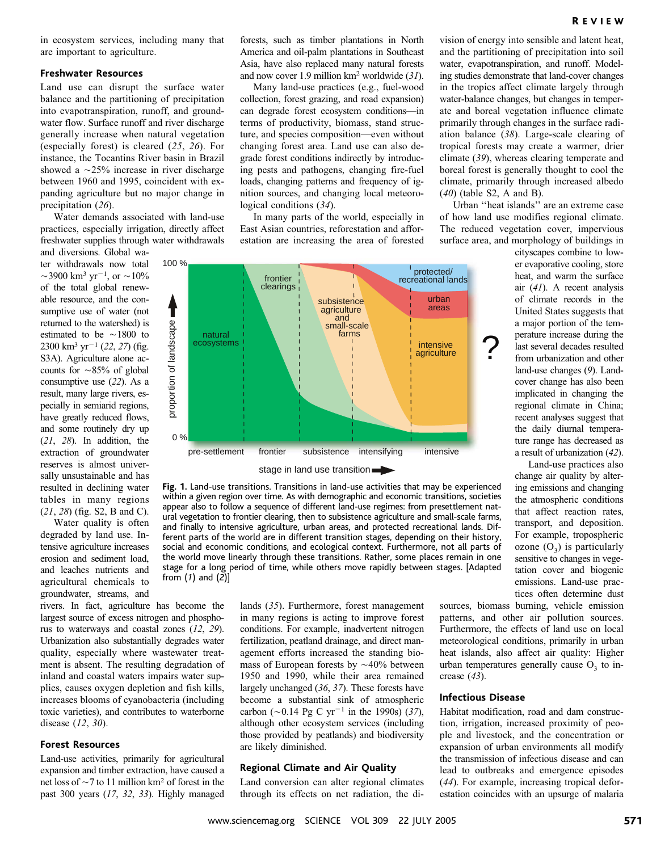in ecosystem services, including many that are important to agriculture.

#### Freshwater Resources

Land use can disrupt the surface water balance and the partitioning of precipitation into evapotranspiration, runoff, and groundwater flow. Surface runoff and river discharge generally increase when natural vegetation (especially forest) is cleared (25, 26). For instance, the Tocantins River basin in Brazil showed a  $\sim$ 25% increase in river discharge between 1960 and 1995, coincident with expanding agriculture but no major change in precipitation (26).

Water demands associated with land-use practices, especially irrigation, directly affect freshwater supplies through water withdrawals

and diversions. Global water withdrawals now total ~3900 km<sup>3</sup> yr<sup>-1</sup>, or ~10% of the total global renewable resource, and the consumptive use of water (not returned to the watershed) is estimated to be  $\sim$ 1800 to 2300 km<sup>3</sup> yr<sup>-1</sup> (22, 27) (fig. S3A). Agriculture alone accounts for  $\sim$ 85% of global consumptive use (22). As a result, many large rivers, especially in semiarid regions, have greatly reduced flows, and some routinely dry up (21, 28). In addition, the extraction of groundwater reserves is almost universally unsustainable and has resulted in declining water tables in many regions (21, 28) (fig. S2, B and C).

Water quality is often degraded by land use. Intensive agriculture increases erosion and sediment load, and leaches nutrients and agricultural chemicals to groundwater, streams, and

rivers. In fact, agriculture has become the largest source of excess nitrogen and phosphorus to waterways and coastal zones (12, 29). Urbanization also substantially degrades water quality, especially where wastewater treatment is absent. The resulting degradation of inland and coastal waters impairs water supplies, causes oxygen depletion and fish kills, increases blooms of cyanobacteria (including toxic varieties), and contributes to waterborne disease (12, 30).

#### Forest Resources

Land-use activities, primarily for agricultural expansion and timber extraction, have caused a net loss of  $\sim$  7 to 11 million km<sup>2</sup> of forest in the past 300 years (17, 32, 33). Highly managed forests, such as timber plantations in North America and oil-palm plantations in Southeast Asia, have also replaced many natural forests and now cover 1.9 million km2 worldwide (31).

Many land-use practices (e.g., fuel-wood collection, forest grazing, and road expansion) can degrade forest ecosystem conditions—in terms of productivity, biomass, stand structure, and species composition—even without changing forest area. Land use can also degrade forest conditions indirectly by introducing pests and pathogens, changing fire-fuel loads, changing patterns and frequency of ignition sources, and changing local meteorological conditions (34).

In many parts of the world, especially in East Asian countries, reforestation and afforestation are increasing the area of forested



Fig. 1. Land-use transitions. Transitions in land-use activities that may be experienced within a given region over time. As with demographic and economic transitions, societies appear also to follow a sequence of different land-use regimes: from presettlement natural vegetation to frontier clearing, then to subsistence agriculture and small-scale farms, and finally to intensive agriculture, urban areas, and protected recreational lands. Different parts of the world are in different transition stages, depending on their history, social and economic conditions, and ecological context. Furthermore, not all parts of the world move linearly through these transitions. Rather, some places remain in one stage for a long period of time, while others move rapidly between stages. [Adapted from (1) and (2)]

lands (35). Furthermore, forest management in many regions is acting to improve forest conditions. For example, inadvertent nitrogen fertilization, peatland drainage, and direct management efforts increased the standing biomass of European forests by  $\sim$ 40% between 1950 and 1990, while their area remained largely unchanged (36, 37). These forests have become a substantial sink of atmospheric carbon ( $\sim$ 0.14 Pg C yr<sup>-1</sup> in the 1990s) (37), although other ecosystem services (including those provided by peatlands) and biodiversity are likely diminished.

#### Regional Climate and Air Quality

Land conversion can alter regional climates through its effects on net radiation, the disources, biomass burning, vehicle emission patterns, and other air pollution sources. Furthermore, the effects of land use on local meteorological conditions, primarily in urban heat islands, also affect air quality: Higher urban temperatures generally cause  $O<sub>3</sub>$  to increase  $(43)$ .

#### Infectious Disease

Habitat modification, road and dam construction, irrigation, increased proximity of people and livestock, and the concentration or expansion of urban environments all modify the transmission of infectious disease and can lead to outbreaks and emergence episodes (44). For example, increasing tropical deforestation coincides with an upsurge of malaria

and the partitioning of precipitation into soil water, evapotranspiration, and runoff. Modeling studies demonstrate that land-cover changes in the tropics affect climate largely through water-balance changes, but changes in temperate and boreal vegetation influence climate primarily through changes in the surface radiation balance (38). Large-scale clearing of tropical forests may create a warmer, drier climate (39), whereas clearing temperate and boreal forest is generally thought to cool the climate, primarily through increased albedo (40) (table S2, A and B).

vision of energy into sensible and latent heat,

Urban ''heat islands'' are an extreme case of how land use modifies regional climate. The reduced vegetation cover, impervious surface area, and morphology of buildings in

cityscapes combine to lower evaporative cooling, store heat, and warm the surface air (41). A recent analysis of climate records in the United States suggests that a major portion of the temperature increase during the last several decades resulted from urbanization and other land-use changes (9). Landcover change has also been implicated in changing the regional climate in China; recent analyses suggest that the daily diurnal temperature range has decreased as a result of urbanization (42).

Land-use practices also change air quality by altering emissions and changing the atmospheric conditions that affect reaction rates, transport, and deposition. For example, tropospheric ozone  $(O_3)$  is particularly sensitive to changes in vegetation cover and biogenic emissions. Land-use practices often determine dust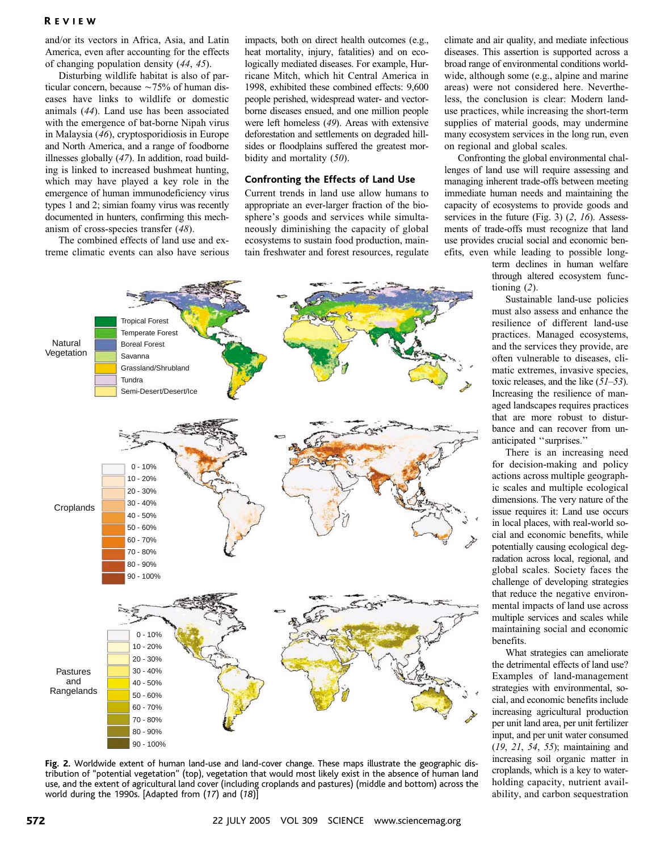### R EVIEW

and/or its vectors in Africa, Asia, and Latin America, even after accounting for the effects of changing population density (44, 45).

Disturbing wildlife habitat is also of particular concern, because  $\sim$ 75% of human diseases have links to wildlife or domestic animals (44). Land use has been associated with the emergence of bat-borne Nipah virus in Malaysia (46), cryptosporidiosis in Europe and North America, and a range of foodborne illnesses globally (47). In addition, road building is linked to increased bushmeat hunting, which may have played a key role in the emergence of human immunodeficiency virus types 1 and 2; simian foamy virus was recently documented in hunters, confirming this mechanism of cross-species transfer (48).

The combined effects of land use and extreme climatic events can also have serious

impacts, both on direct health outcomes (e.g., heat mortality, injury, fatalities) and on ecologically mediated diseases. For example, Hurricane Mitch, which hit Central America in 1998, exhibited these combined effects: 9,600 people perished, widespread water- and vectorborne diseases ensued, and one million people were left homeless (49). Areas with extensive deforestation and settlements on degraded hillsides or floodplains suffered the greatest morbidity and mortality (50).

## Confronting the Effects of Land Use

Current trends in land use allow humans to appropriate an ever-larger fraction of the biosphere's goods and services while simultaneously diminishing the capacity of global ecosystems to sustain food production, maintain freshwater and forest resources, regulate



Fig. 2. Worldwide extent of human land-use and land-cover change. These maps illustrate the geographic distribution of ''potential vegetation'' (top), vegetation that would most likely exist in the absence of human land use, and the extent of agricultural land cover (including croplands and pastures) (middle and bottom) across the world during the 1990s. [Adapted from (17) and (18)]

climate and air quality, and mediate infectious diseases. This assertion is supported across a broad range of environmental conditions worldwide, although some (e.g., alpine and marine areas) were not considered here. Nevertheless, the conclusion is clear: Modern landuse practices, while increasing the short-term supplies of material goods, may undermine many ecosystem services in the long run, even on regional and global scales.

Confronting the global environmental challenges of land use will require assessing and managing inherent trade-offs between meeting immediate human needs and maintaining the capacity of ecosystems to provide goods and services in the future (Fig. 3) (2, 16). Assessments of trade-offs must recognize that land use provides crucial social and economic benefits, even while leading to possible long-

term declines in human welfare through altered ecosystem functioning (2).

Sustainable land-use policies must also assess and enhance the resilience of different land-use practices. Managed ecosystems, and the services they provide, are often vulnerable to diseases, climatic extremes, invasive species, toxic releases, and the like (51–53). Increasing the resilience of managed landscapes requires practices that are more robust to disturbance and can recover from unanticipated ''surprises.''

There is an increasing need for decision-making and policy actions across multiple geographic scales and multiple ecological dimensions. The very nature of the issue requires it: Land use occurs in local places, with real-world social and economic benefits, while potentially causing ecological degradation across local, regional, and global scales. Society faces the challenge of developing strategies that reduce the negative environmental impacts of land use across multiple services and scales while maintaining social and economic benefits.

What strategies can ameliorate the detrimental effects of land use? Examples of land-management strategies with environmental, social, and economic benefits include increasing agricultural production per unit land area, per unit fertilizer input, and per unit water consumed (19, 21, 54, 55); maintaining and increasing soil organic matter in croplands, which is a key to waterholding capacity, nutrient availability, and carbon sequestration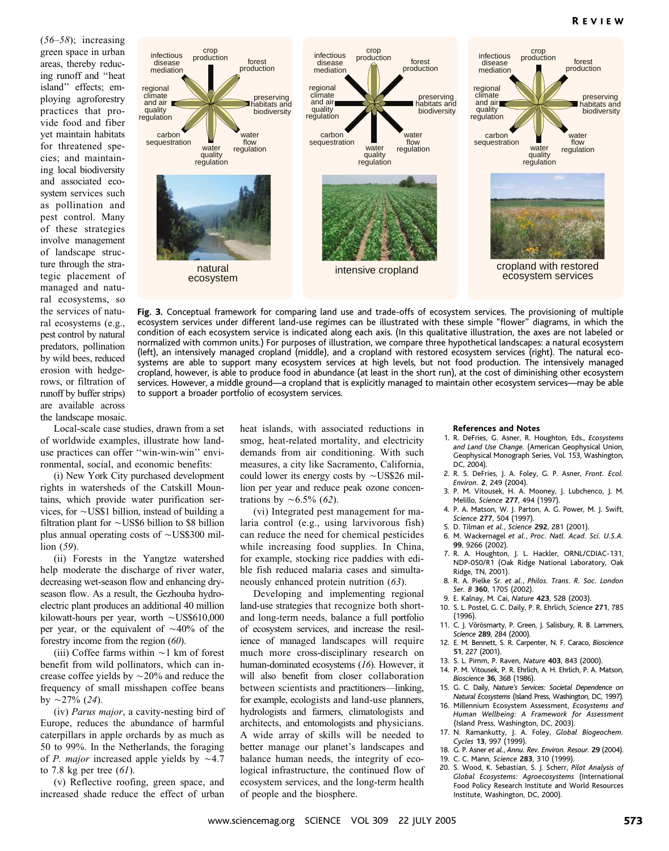$(56–58)$ ; increasing green space in urban areas, thereby reducing runoff and ''heat island'' effects; employing agroforestry practices that provide food and fiber yet maintain habitats for threatened species; and maintaining local biodiversity and associated ecosystem services such as pollination and pest control. Many of these strategies involve management of landscape structure through the strategic placement of managed and natural ecosystems, so the services of natural ecosystems (e.g., pest control by natural predators, pollination by wild bees, reduced erosion with hedgerows, or filtration of runoff by buffer strips) are available across the landscape mosaic.



Fig. 3. Conceptual framework for comparing land use and trade-offs of ecosystem services. The provisioning of multiple ecosystem services under different land-use regimes can be illustrated with these simple ''flower'' diagrams, in which the condition of each ecosystem service is indicated along each axis. (In this qualitative illustration, the axes are not labeled or normalized with common units.) For purposes of illustration, we compare three hypothetical landscapes: a natural ecosystem (left), an intensively managed cropland (middle), and a cropland with restored ecosystem services (right). The natural ecosystems are able to support many ecosystem services at high levels, but not food production. The intensively managed cropland, however, is able to produce food in abundance (at least in the short run), at the cost of diminishing other ecosystem services. However, a middle ground—a cropland that is explicitly managed to maintain other ecosystem services—may be able to support a broader portfolio of ecosystem services.

Local-scale case studies, drawn from a set of worldwide examples, illustrate how landuse practices can offer ''win-win-win'' environmental, social, and economic benefits:

(i) New York City purchased development rights in watersheds of the Catskill Mountains, which provide water purification services, for  $\sim$ US\$1 billion, instead of building a filtration plant for  $\sim$  US\$6 billion to \$8 billion plus annual operating costs of  $\sim$ US\$300 million (59).

(ii) Forests in the Yangtze watershed help moderate the discharge of river water, decreasing wet-season flow and enhancing dryseason flow. As a result, the Gezhouba hydroelectric plant produces an additional 40 million kilowatt-hours per year, worth  $\sim USS610,000$ per year, or the equivalent of  $\sim$ 40% of the forestry income from the region (60).

(iii) Coffee farms within  $\sim$ 1 km of forest benefit from wild pollinators, which can increase coffee yields by  $\sim$  20% and reduce the frequency of small misshapen coffee beans by  $\sim$  27% (24).

(iv) Parus major, a cavity-nesting bird of Europe, reduces the abundance of harmful caterpillars in apple orchards by as much as 50 to 99%. In the Netherlands, the foraging of *P. major* increased apple yields by  $\sim$  4.7 to 7.8 kg per tree  $(61)$ .

(v) Reflective roofing, green space, and increased shade reduce the effect of urban heat islands, with associated reductions in smog, heat-related mortality, and electricity demands from air conditioning. With such measures, a city like Sacramento, California, could lower its energy costs by  $\sim$ US\$26 million per year and reduce peak ozone concentrations by  $\sim$  6.5% (62).

(vi) Integrated pest management for malaria control (e.g., using larvivorous fish) can reduce the need for chemical pesticides while increasing food supplies. In China, for example, stocking rice paddies with edible fish reduced malaria cases and simultaneously enhanced protein nutrition (63).

Developing and implementing regional land-use strategies that recognize both shortand long-term needs, balance a full portfolio of ecosystem services, and increase the resilience of managed landscapes will require much more cross-disciplinary research on human-dominated ecosystems (16). However, it will also benefit from closer collaboration between scientists and practitioners—linking, for example, ecologists and land-use planners, hydrologists and farmers, climatologists and architects, and entomologists and physicians. A wide array of skills will be needed to better manage our planet's landscapes and balance human needs, the integrity of ecological infrastructure, the continued flow of ecosystem services, and the long-term health of people and the biosphere.

#### References and Notes

- 1. R. DeFries, G. Asner, R. Houghton, Eds., Ecosystems and Land Use Change. (American Geophysical Union, Geophysical Monograph Series, Vol. 153, Washington, DC, 2004).
- 2. R. S. DeFries, J. A. Foley, G. P. Asner, Front. Ecol. Environ. 2, 249 (2004).
- 3. P. M. Vitousek, H. A. Mooney, J. Lubchenco, J. M. Melillo, Science 277, 494 (1997).
- 4. P. A. Matson, W. J. Parton, A. G. Power, M. J. Swift, Science 277, 504 (1997).
- 5. D. Tilman et al., Science 292, 281 (2001).
- 6. M. Wackernagel et al., Proc. Natl. Acad. Sci. U.S.A. 99, 9266 (2002).
- 7. R. A. Houghton, J. L. Hackler, ORNL/CDIAC-131, NDP-050/R1 (Oak Ridge National Laboratory, Oak Ridge, TN, 2001).
- 8. R. A. Pielke Sr. et al., Philos. Trans. R. Soc. London Ser. B 360, 1705 (2002).
- 9. E. Kalnay, M. Cai, Nature 423, 528 (2003).
- 10. S. L. Postel, G. C. Daily, P. R. Ehrlich, Science 271, 785 (1996).
- 11. C. J. Vörösmarty, P. Green, J. Salisbury, R. B. Lammers, Science 289, 284 (2000).
- 12. E. M. Bennett, S. R. Carpenter, N. F. Caraco, Bioscience 51, 227 (2001).
- 13. S. L. Pimm, P. Raven, Nature 403, 843 (2000).
- 14. P. M. Vitousek, P. R. Ehrlich, A. H. Ehrlich, P. A. Matson, Bioscience 36, 368 (1986).
- 15. G. C. Daily, Nature's Services: Societal Dependence on Natural Ecosystems (Island Press, Washington, DC, 1997).
- 16. Millennium Ecosystem Assessment, Ecosystems and Human Wellbeing: A Framework for Assessment (Island Press, Washington, DC, 2003).
- 17. N. Ramankutty, J. A. Foley, Global Biogeochem. Cycles 13, 997 (1999).
- 18. G. P. Asner et al., Annu. Rev. Environ. Resour. 29 (2004).
- 19. C. C. Mann, Science 283, 310 (1999).
- 20. S. Wood, K. Sebastian, S. J. Scherr, Pilot Analysis of Global Ecosystems: Agroecosystems (International Food Policy Research Institute and World Resources Institute, Washington, DC, 2000).